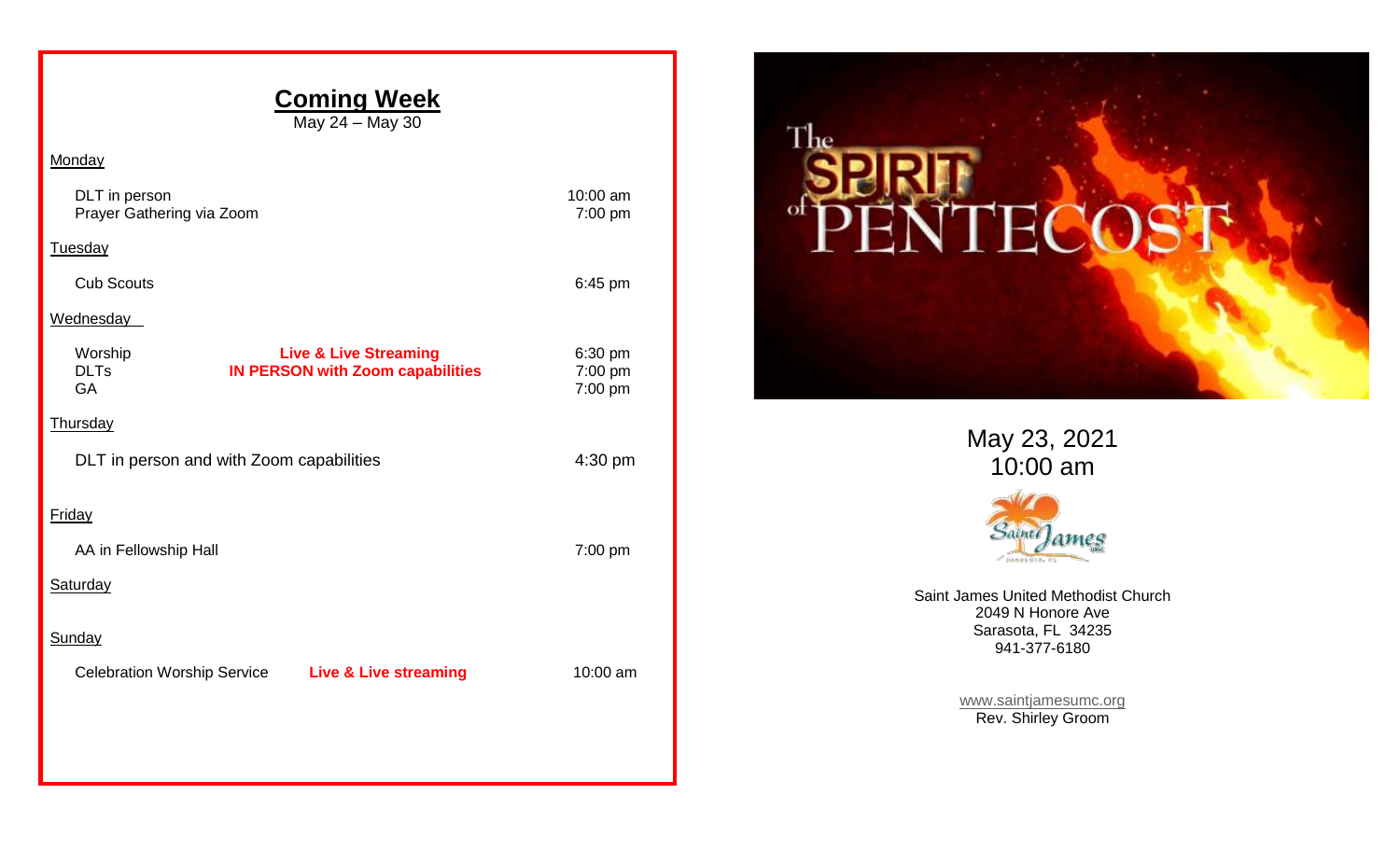## **Coming Week** May 24 – May 30 **Monday** DLT in person 10:00 am Prayer Gathering via Zoom **7:00 pm** Tuesday Cub Scouts 6:45 pm **Wednesday** Worship **Live & Live Streaming** 6:30 pm DLTs **IN PERSON with Zoom capabilities** 7:00 pm<br>GA 7:00 pm GA 7:00 pm **Thursday** DLT in person and with Zoom capabilities 4:30 pm Friday AA in Fellowship Hall 7:00 pm **Saturday Sunday** Celebration Worship Service **Live & Live streaming** 10:00 am



May 23, 2021 10:00 am



Saint James United Methodist Church 2049 N Honore Ave Sarasota, FL 34235 941-377-6180

> [www.saintjamesumc.org](http://www.saintjamesumc.org/) Rev. Shirley Groom